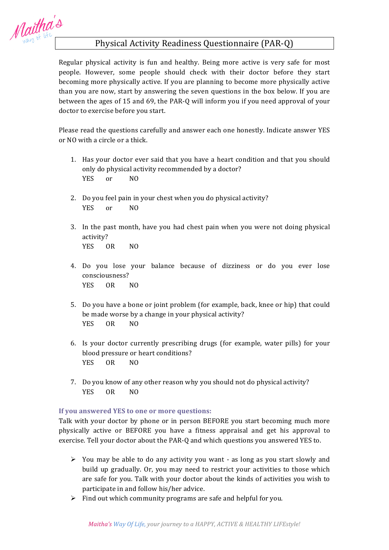Maitha's

## Physical Activity Readiness Questionnaire (PAR-Q)

Regular physical activity is fun and healthy. Being more active is very safe for most people. However, some people should check with their doctor before they start becoming more physically active. If you are planning to become more physically active than you are now, start by answering the seven questions in the box below. If you are between the ages of 15 and 69, the PAR-Q will inform you if you need approval of your doctor to exercise before you start.

Please read the questions carefully and answer each one honestly. Indicate answer YES or NO with a circle or a thick.

- 1. Has your doctor ever said that you have a heart condition and that you should only do physical activity recommended by a doctor? YES or NO
- 2. Do you feel pain in your chest when you do physical activity? YES or NO
- 3. In the past month, have you had chest pain when you were not doing physical activity? YES OR NO
- 4. Do you lose your balance because of dizziness or do you ever lose consciousness? YES OR NO
- 5. Do you have a bone or joint problem (for example, back, knee or hip) that could be made worse by a change in your physical activity? YES OR NO
- 6. Is your doctor currently prescribing drugs (for example, water pills) for your blood pressure or heart conditions? YES OR NO
- 7. Do you know of any other reason why you should not do physical activity? YES OR NO

## **If you answered YES to one or more questions:**

Talk with your doctor by phone or in person BEFORE you start becoming much more physically active or BEFORE you have a fitness appraisal and get his approval to exercise. Tell your doctor about the PAR-Q and which questions you answered YES to.

- $\triangleright$  You may be able to do any activity you want as long as you start slowly and build up gradually. Or, you may need to restrict your activities to those which are safe for you. Talk with your doctor about the kinds of activities you wish to participate in and follow his/her advice.
- $\triangleright$  Find out which community programs are safe and helpful for you.